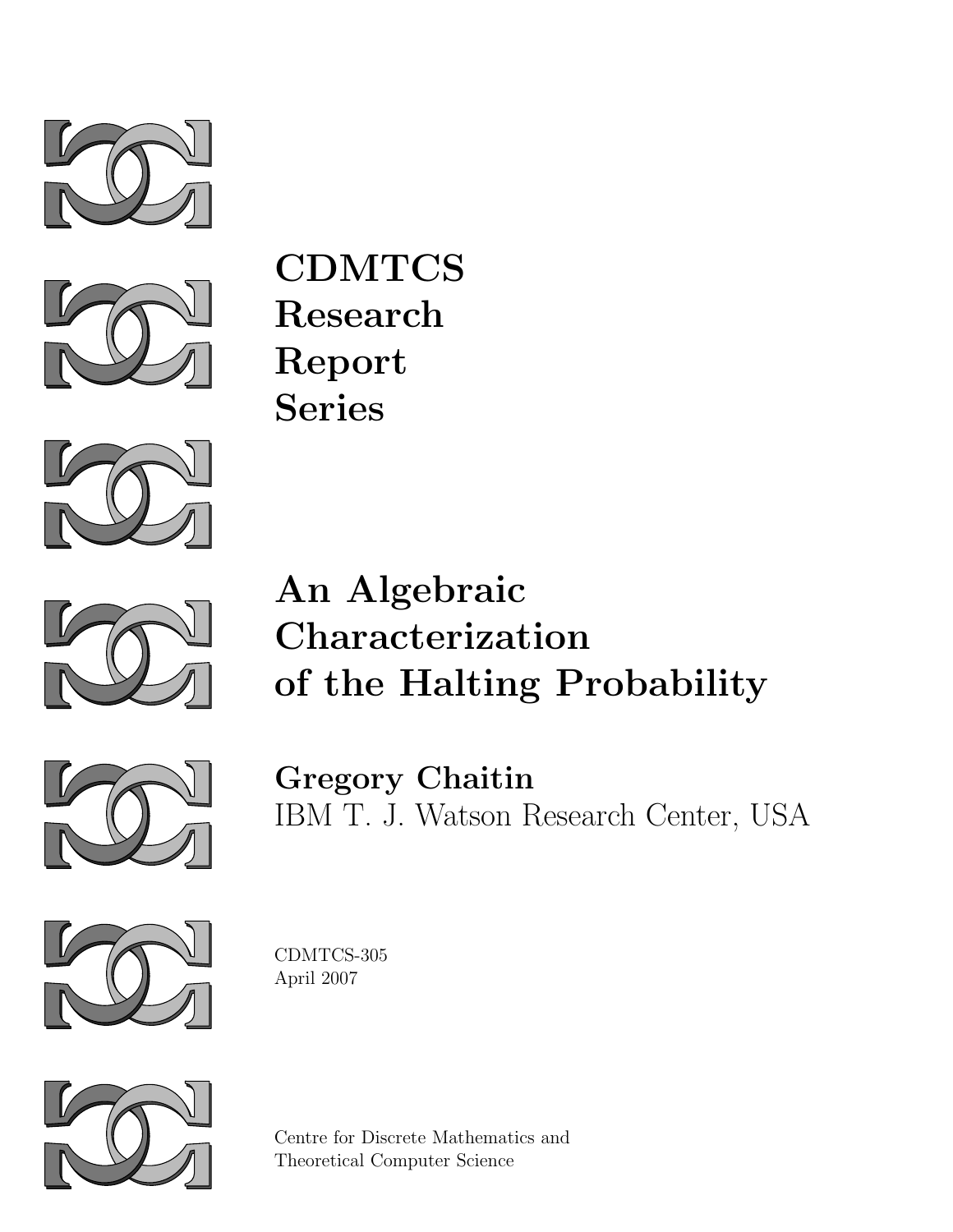



CDMTCS Research Report Series



# An Algebraic Characterization of the Halting Probability



Gregory Chaitin IBM T. J. Watson Research Center, USA



CDMTCS-305 April 2007



Centre for Discrete Mathematics and Theoretical Computer Science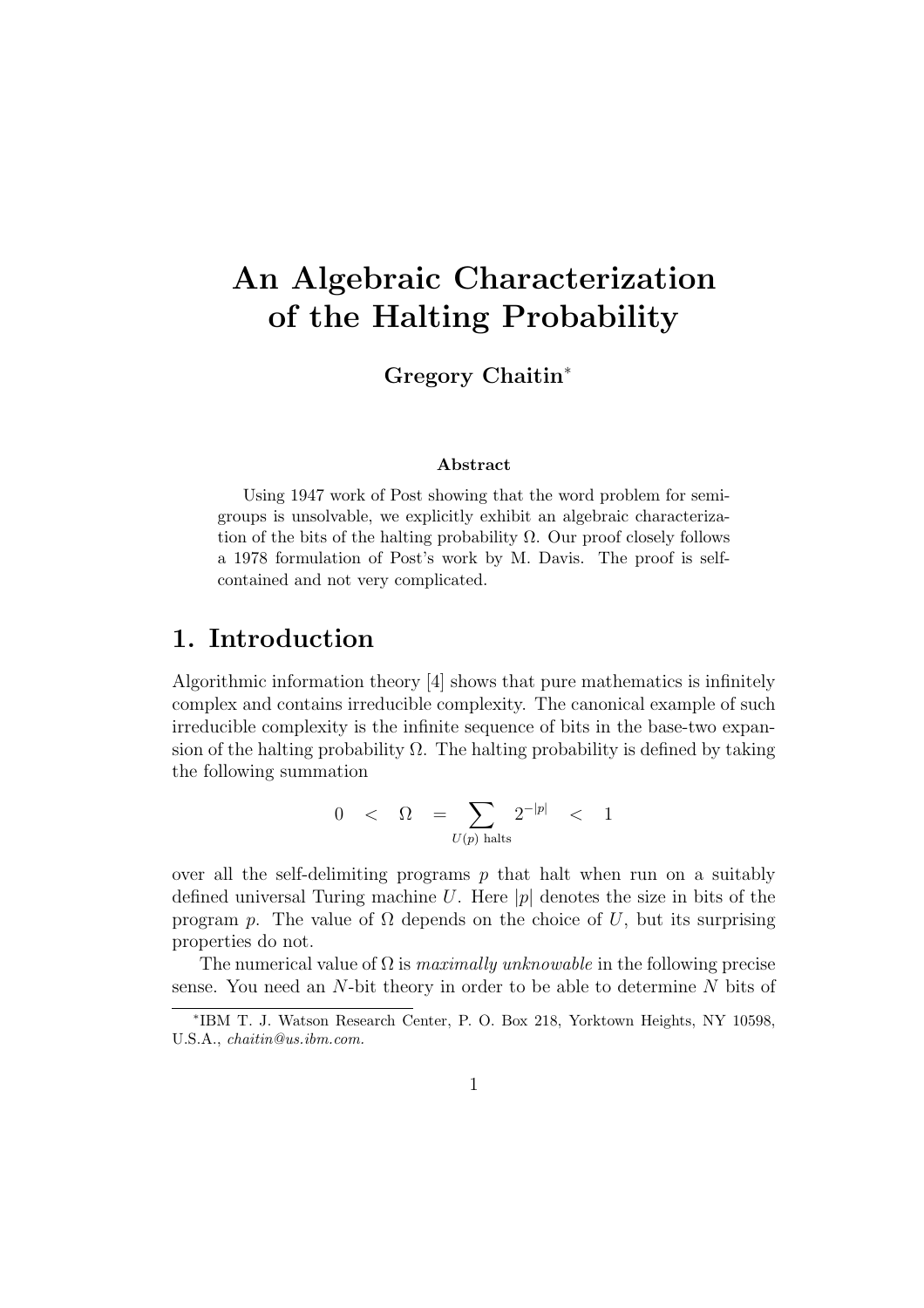# An Algebraic Characterization of the Halting Probability

Gregory Chaitin<sup>∗</sup>

#### Abstract

Using 1947 work of Post showing that the word problem for semigroups is unsolvable, we explicitly exhibit an algebraic characterization of the bits of the halting probability  $\Omega$ . Our proof closely follows a 1978 formulation of Post's work by M. Davis. The proof is selfcontained and not very complicated.

### 1. Introduction

Algorithmic information theory [4] shows that pure mathematics is infinitely complex and contains irreducible complexity. The canonical example of such irreducible complexity is the infinite sequence of bits in the base-two expansion of the halting probability  $\Omega$ . The halting probability is defined by taking the following summation

$$
0 \quad < \quad \Omega \quad = \sum_{U(p) \text{ halts}} 2^{-|p|} \quad < \quad 1
$$

over all the self-delimiting programs  $p$  that halt when run on a suitably defined universal Turing machine U. Here  $|p|$  denotes the size in bits of the program p. The value of  $\Omega$  depends on the choice of U, but its surprising properties do not.

The numerical value of  $\Omega$  is *maximally unknowable* in the following precise sense. You need an  $N$ -bit theory in order to be able to determine  $N$  bits of

<sup>∗</sup> IBM T. J. Watson Research Center, P. O. Box 218, Yorktown Heights, NY 10598, U.S.A., chaitin@us.ibm.com.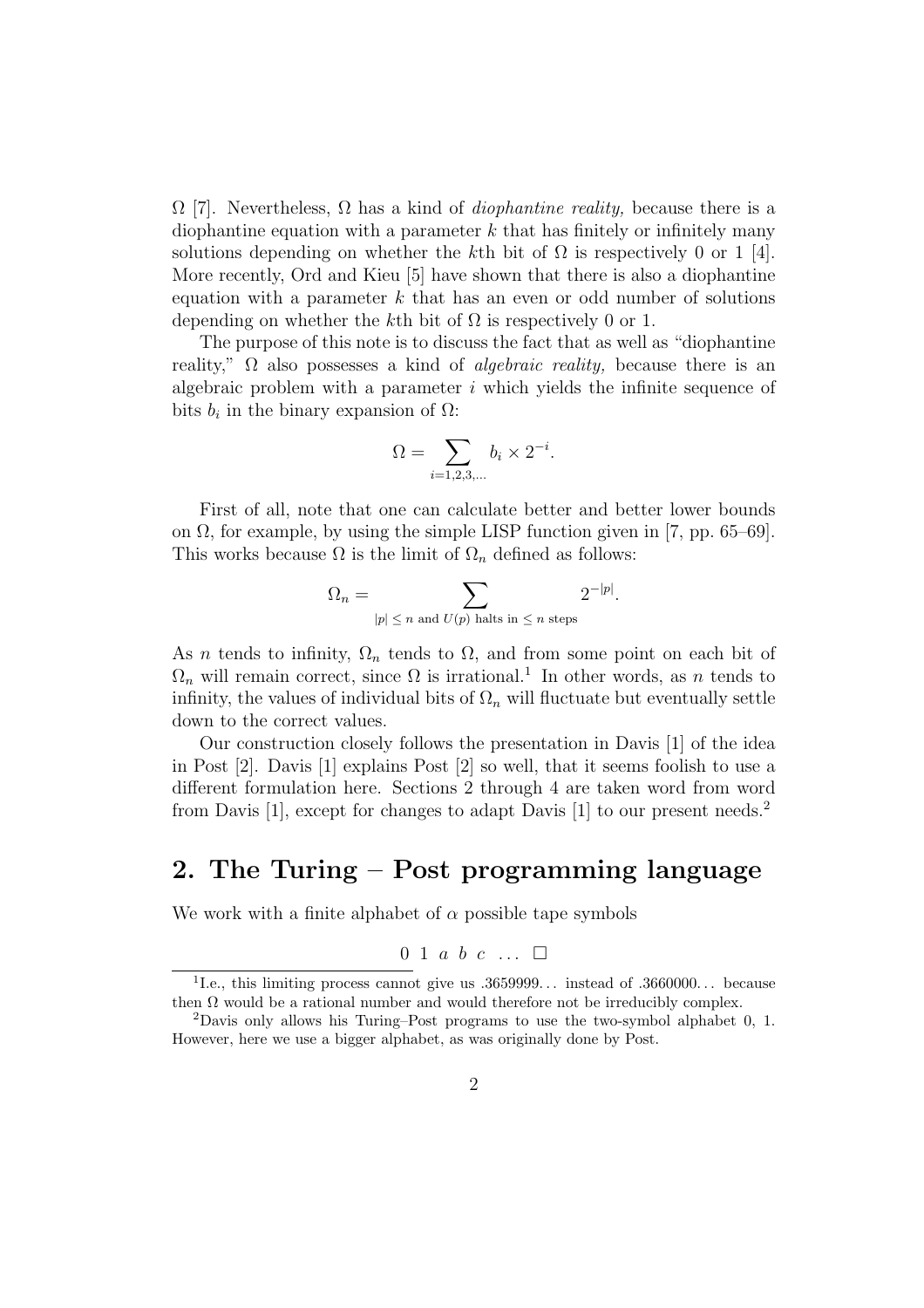$\Omega$  [7]. Nevertheless,  $\Omega$  has a kind of *diophantine reality*, because there is a diophantine equation with a parameter  $k$  that has finitely or infinitely many solutions depending on whether the kth bit of  $\Omega$  is respectively 0 or 1 [4]. More recently, Ord and Kieu [5] have shown that there is also a diophantine equation with a parameter  $k$  that has an even or odd number of solutions depending on whether the kth bit of  $\Omega$  is respectively 0 or 1.

The purpose of this note is to discuss the fact that as well as "diophantine reality,"  $\Omega$  also possesses a kind of *algebraic reality*, because there is an algebraic problem with a parameter  $i$  which yields the infinite sequence of bits  $b_i$  in the binary expansion of  $\Omega$ :

$$
\Omega = \sum_{i=1,2,3,...} b_i \times 2^{-i}.
$$

First of all, note that one can calculate better and better lower bounds on  $\Omega$ , for example, by using the simple LISP function given in [7, pp. 65–69]. This works because  $\Omega$  is the limit of  $\Omega_n$  defined as follows:

$$
\Omega_n = \sum_{|p| \le n \text{ and } U(p) \text{ halts in } \le n \text{ steps}} 2^{-|p|}.
$$

As n tends to infinity,  $\Omega_n$  tends to  $\Omega$ , and from some point on each bit of  $\Omega_n$  will remain correct, since  $\Omega$  is irrational.<sup>1</sup> In other words, as n tends to infinity, the values of individual bits of  $\Omega_n$  will fluctuate but eventually settle down to the correct values.

Our construction closely follows the presentation in Davis [1] of the idea in Post [2]. Davis [1] explains Post [2] so well, that it seems foolish to use a different formulation here. Sections 2 through 4 are taken word from word from Davis [1], except for changes to adapt Davis [1] to our present needs.<sup>2</sup>

### 2. The Turing – Post programming language

We work with a finite alphabet of  $\alpha$  possible tape symbols

$$
0\;\;1\;\;a\;\;b\;\;c\;\;\ldots\;\;\Box
$$

<sup>&</sup>lt;sup>1</sup>I.e., this limiting process cannot give us .3659999... instead of .3660000... because then  $\Omega$  would be a rational number and would therefore not be irreducibly complex.

<sup>2</sup>Davis only allows his Turing–Post programs to use the two-symbol alphabet 0, 1. However, here we use a bigger alphabet, as was originally done by Post.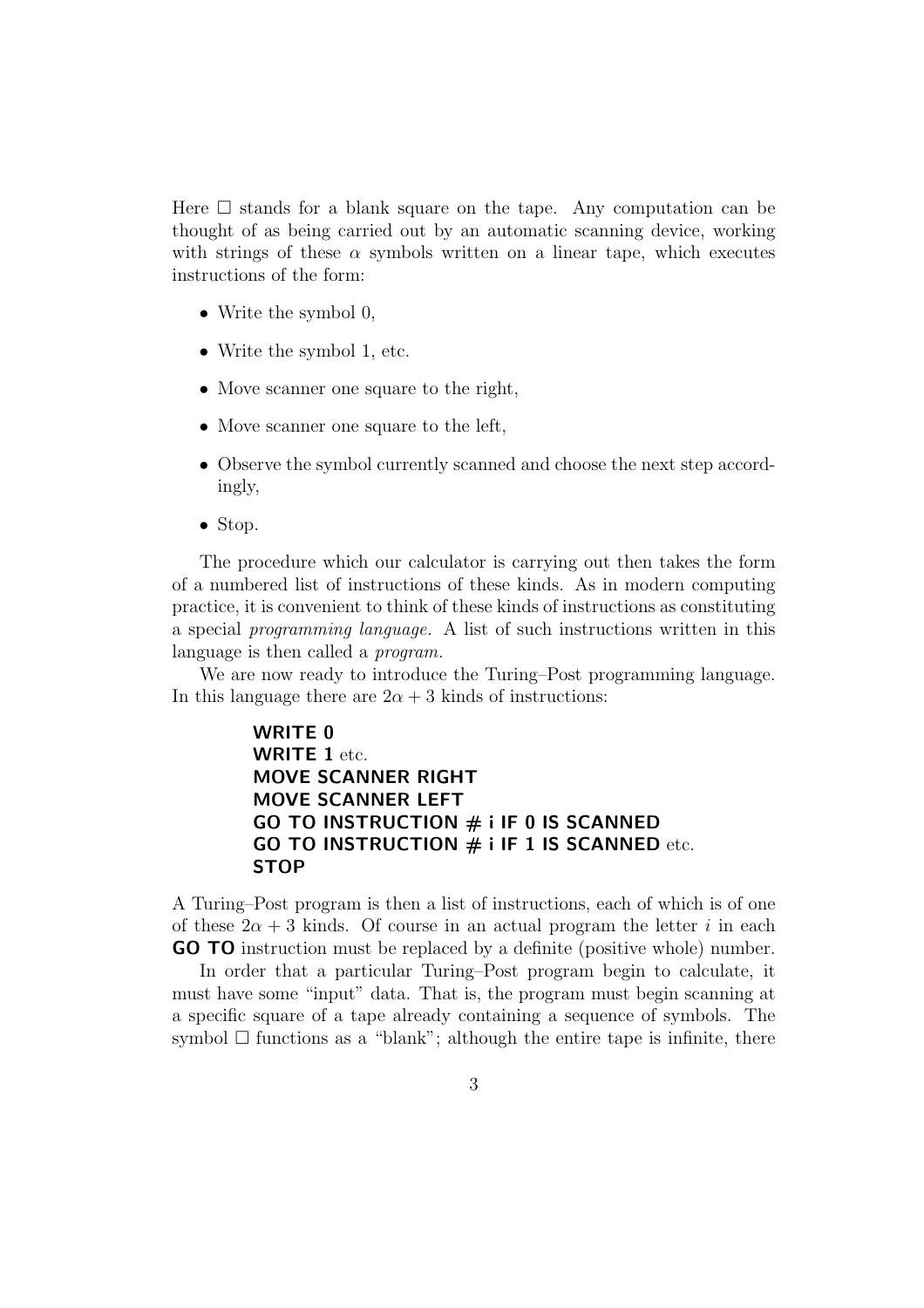Here  $\square$  stands for a blank square on the tape. Any computation can be thought of as being carried out by an automatic scanning device, working with strings of these  $\alpha$  symbols written on a linear tape, which executes instructions of the form:

- Write the symbol 0,
- Write the symbol 1, etc.
- Move scanner one square to the right,
- Move scanner one square to the left,
- Observe the symbol currently scanned and choose the next step accordingly,
- Stop.

The procedure which our calculator is carrying out then takes the form of a numbered list of instructions of these kinds. As in modern computing practice, it is convenient to think of these kinds of instructions as constituting a special programming language. A list of such instructions written in this language is then called a *program*.

We are now ready to introduce the Turing–Post programming language. In this language there are  $2\alpha + 3$  kinds of instructions:

> WRITE 0 WRITE 1 etc. MOVE SCANNER RIGHT MOVE SCANNER LEFT GO TO INSTRUCTION  $#$  i IF 0 IS SCANNED GO TO INSTRUCTION  $#$  i IF 1 IS SCANNED etc. **STOP**

A Turing–Post program is then a list of instructions, each of which is of one of these  $2\alpha + 3$  kinds. Of course in an actual program the letter i in each GO TO instruction must be replaced by a definite (positive whole) number.

In order that a particular Turing–Post program begin to calculate, it must have some "input" data. That is, the program must begin scanning at a specific square of a tape already containing a sequence of symbols. The symbol  $\Box$  functions as a "blank"; although the entire tape is infinite, there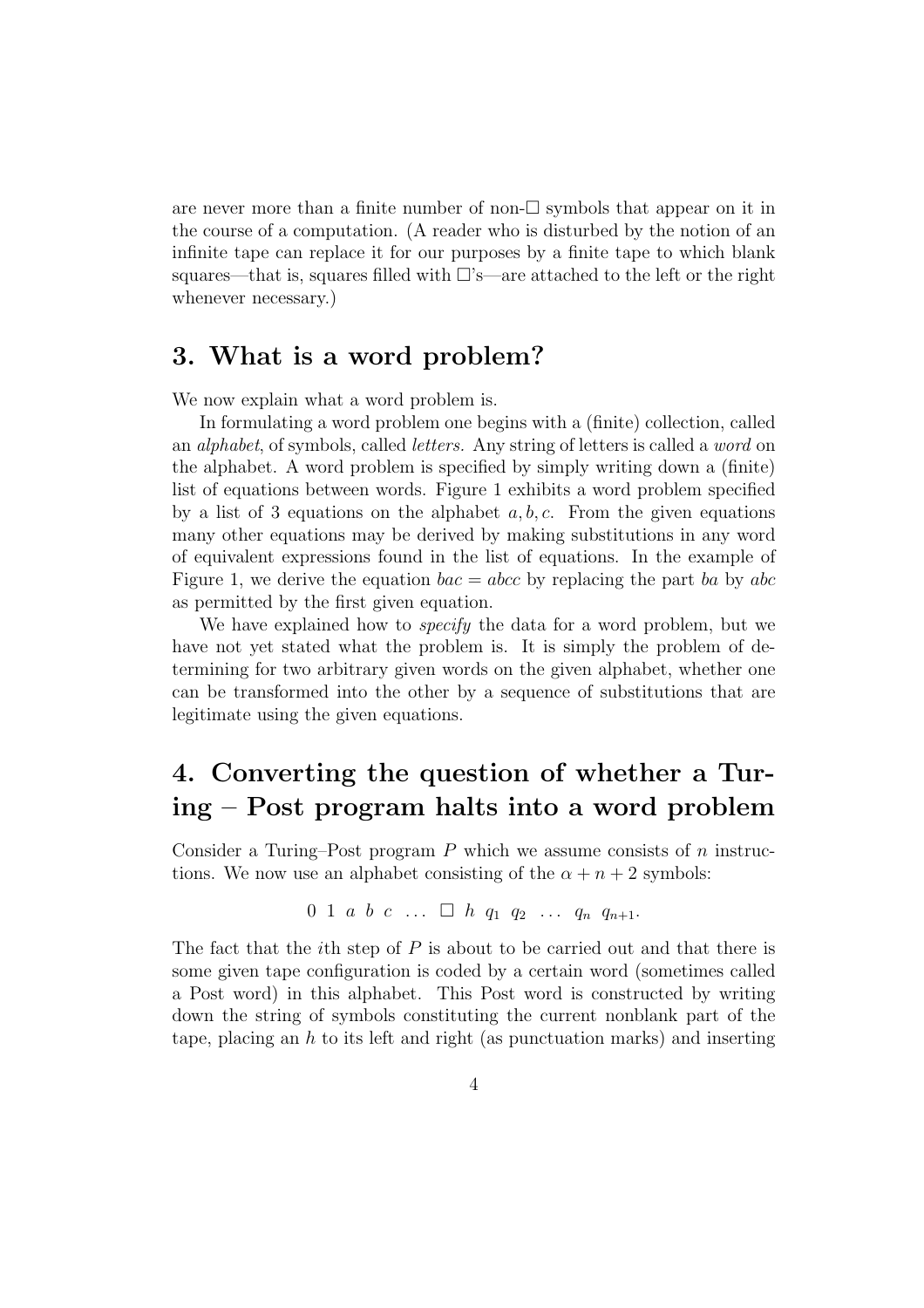are never more than a finite number of non- $\square$  symbols that appear on it in the course of a computation. (A reader who is disturbed by the notion of an infinite tape can replace it for our purposes by a finite tape to which blank squares—that is, squares filled with  $\Box$ 's—are attached to the left or the right whenever necessary.)

#### 3. What is a word problem?

We now explain what a word problem is.

In formulating a word problem one begins with a (finite) collection, called an alphabet, of symbols, called letters. Any string of letters is called a word on the alphabet. A word problem is specified by simply writing down a (finite) list of equations between words. Figure 1 exhibits a word problem specified by a list of 3 equations on the alphabet  $a, b, c$ . From the given equations many other equations may be derived by making substitutions in any word of equivalent expressions found in the list of equations. In the example of Figure 1, we derive the equation  $bac = abcc$  by replacing the part ba by abc as permitted by the first given equation.

We have explained how to *specify* the data for a word problem, but we have not yet stated what the problem is. It is simply the problem of determining for two arbitrary given words on the given alphabet, whether one can be transformed into the other by a sequence of substitutions that are legitimate using the given equations.

# 4. Converting the question of whether a Turing – Post program halts into a word problem

Consider a Turing–Post program  $P$  which we assume consists of  $n$  instructions. We now use an alphabet consisting of the  $\alpha + n + 2$  symbols:

$$
0 \ 1 \ a \ b \ c \ \ldots \ \Box \ h \ q_1 \ q_2 \ \ldots \ q_n \ q_{n+1}.
$$

The fact that the *i*th step of  $P$  is about to be carried out and that there is some given tape configuration is coded by a certain word (sometimes called a Post word) in this alphabet. This Post word is constructed by writing down the string of symbols constituting the current nonblank part of the tape, placing an  $h$  to its left and right (as punctuation marks) and inserting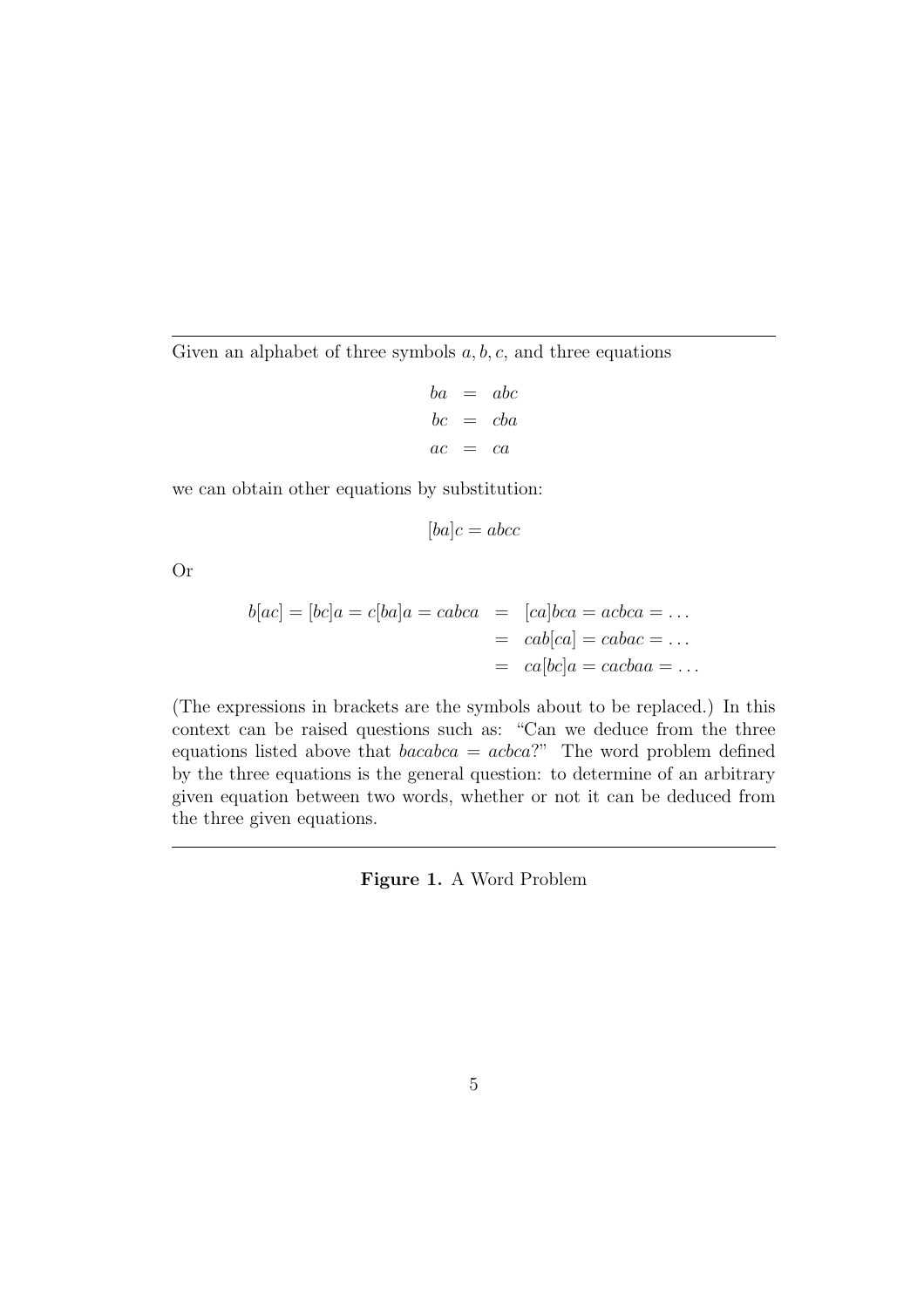Given an alphabet of three symbols  $a, b, c$ , and three equations

$$
ba = abc
$$
  

$$
bc = cba
$$
  

$$
ac = ca
$$

we can obtain other equations by substitution:

$$
[ba]c = abcc
$$

Or

$$
b[ac] = [bc]a = c[ba]a = cabca = [ca]bca = acbca = \dots
$$

$$
= cab[ca] = cabac = \dots
$$

$$
= ca[bc]a = cacbaa = \dots
$$

(The expressions in brackets are the symbols about to be replaced.) In this context can be raised questions such as: "Can we deduce from the three equations listed above that  $bcabca = acbca$ ?" The word problem defined by the three equations is the general question: to determine of an arbitrary given equation between two words, whether or not it can be deduced from the three given equations.

Figure 1. A Word Problem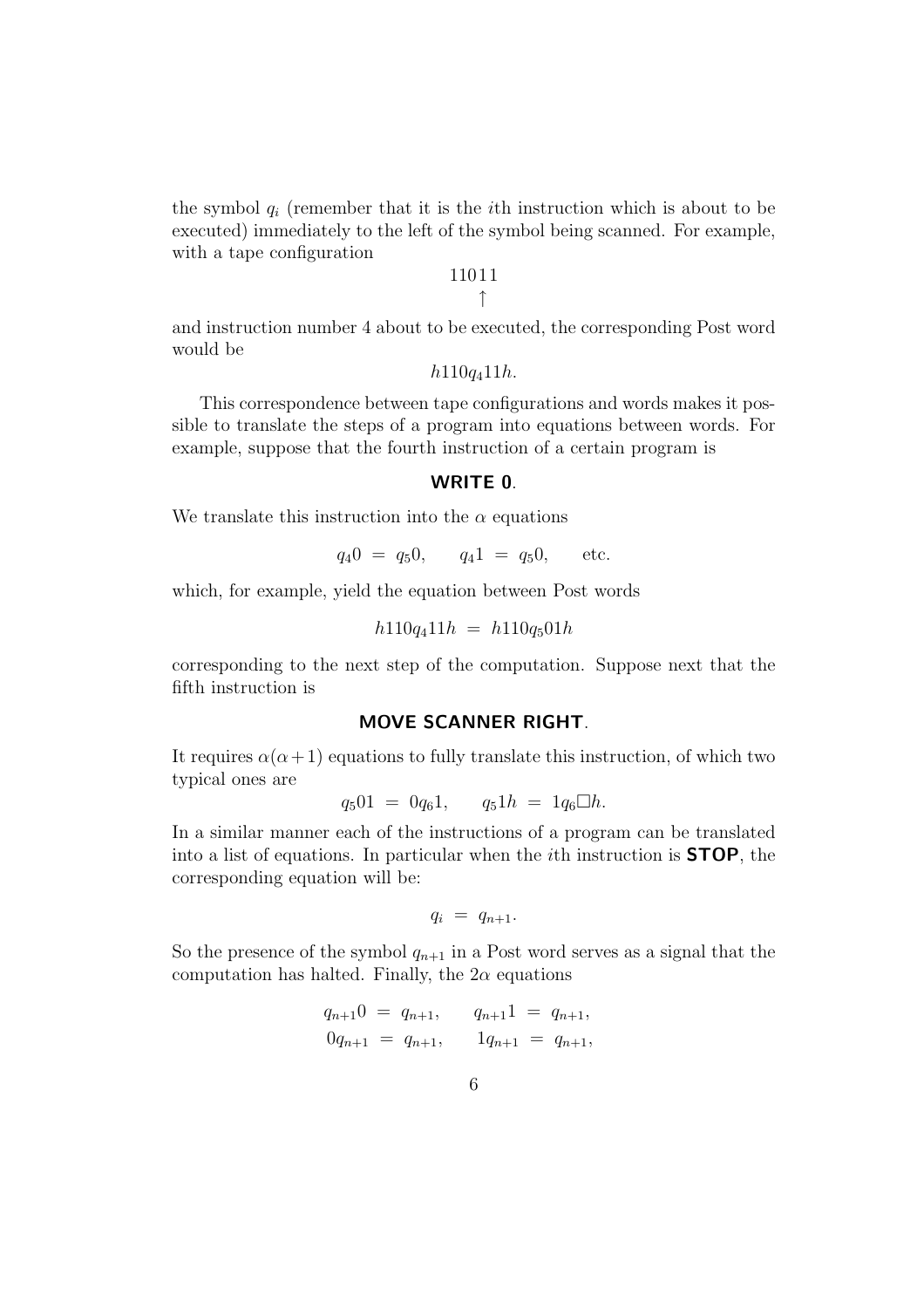the symbol  $q_i$  (remember that it is the *i*th instruction which is about to be executed) immediately to the left of the symbol being scanned. For example, with a tape configuration

> 1101 1 ↑

and instruction number 4 about to be executed, the corresponding Post word would be

 $h110q_411h$ .

This correspondence between tape configurations and words makes it possible to translate the steps of a program into equations between words. For example, suppose that the fourth instruction of a certain program is

#### WRITE 0.

We translate this instruction into the  $\alpha$  equations

$$
q_40 = q_50
$$
,  $q_41 = q_50$ , etc.

which, for example, yield the equation between Post words

$$
h110q_411h = h110q_501h
$$

corresponding to the next step of the computation. Suppose next that the fifth instruction is

#### MOVE SCANNER RIGHT.

It requires  $\alpha(\alpha+1)$  equations to fully translate this instruction, of which two typical ones are

$$
q_5 01 = 0q_6 1, \qquad q_5 1h = 1q_6 \Box h.
$$

In a similar manner each of the instructions of a program can be translated into a list of equations. In particular when the ith instruction is STOP, the corresponding equation will be:

$$
q_i = q_{n+1}.
$$

So the presence of the symbol  $q_{n+1}$  in a Post word serves as a signal that the computation has halted. Finally, the  $2\alpha$  equations

$$
q_{n+1}0 = q_{n+1},
$$
  $q_{n+1}1 = q_{n+1},$   
 $0q_{n+1} = q_{n+1},$   $1q_{n+1} = q_{n+1},$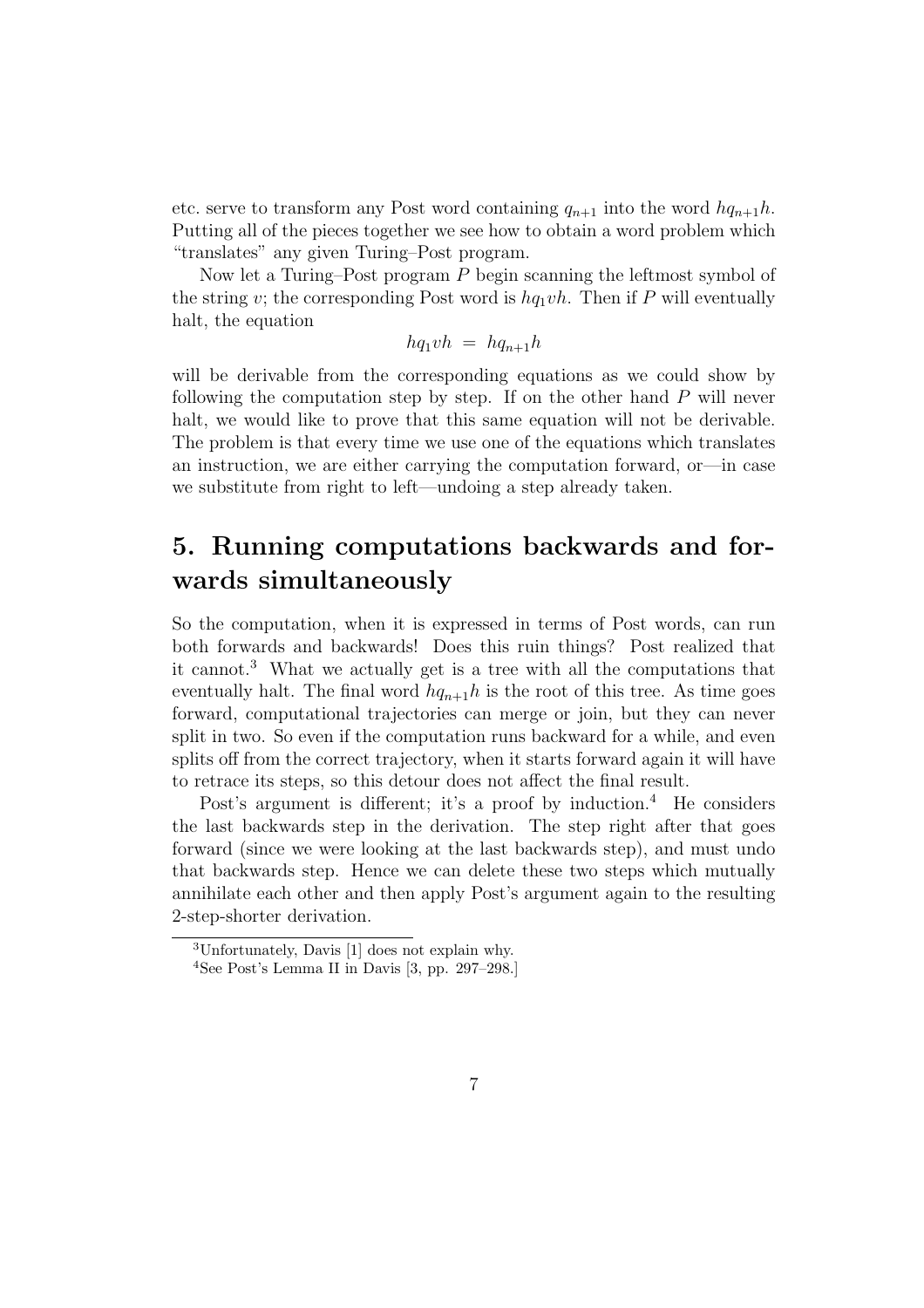etc. serve to transform any Post word containing  $q_{n+1}$  into the word  $hq_{n+1}h$ . Putting all of the pieces together we see how to obtain a word problem which "translates" any given Turing–Post program.

Now let a Turing–Post program P begin scanning the leftmost symbol of the string v; the corresponding Post word is  $hq_1vh$ . Then if P will eventually halt, the equation

$$
hq_1vh = hq_{n+1}h
$$

will be derivable from the corresponding equations as we could show by following the computation step by step. If on the other hand  $P$  will never halt, we would like to prove that this same equation will not be derivable. The problem is that every time we use one of the equations which translates an instruction, we are either carrying the computation forward, or—in case we substitute from right to left—undoing a step already taken.

## 5. Running computations backwards and forwards simultaneously

So the computation, when it is expressed in terms of Post words, can run both forwards and backwards! Does this ruin things? Post realized that it cannot.<sup>3</sup> What we actually get is a tree with all the computations that eventually halt. The final word  $hq_{n+1}h$  is the root of this tree. As time goes forward, computational trajectories can merge or join, but they can never split in two. So even if the computation runs backward for a while, and even splits off from the correct trajectory, when it starts forward again it will have to retrace its steps, so this detour does not affect the final result.

Post's argument is different; it's a proof by induction.<sup>4</sup> He considers the last backwards step in the derivation. The step right after that goes forward (since we were looking at the last backwards step), and must undo that backwards step. Hence we can delete these two steps which mutually annihilate each other and then apply Post's argument again to the resulting 2-step-shorter derivation.

<sup>3</sup>Unfortunately, Davis [1] does not explain why.

<sup>4</sup>See Post's Lemma II in Davis [3, pp. 297–298.]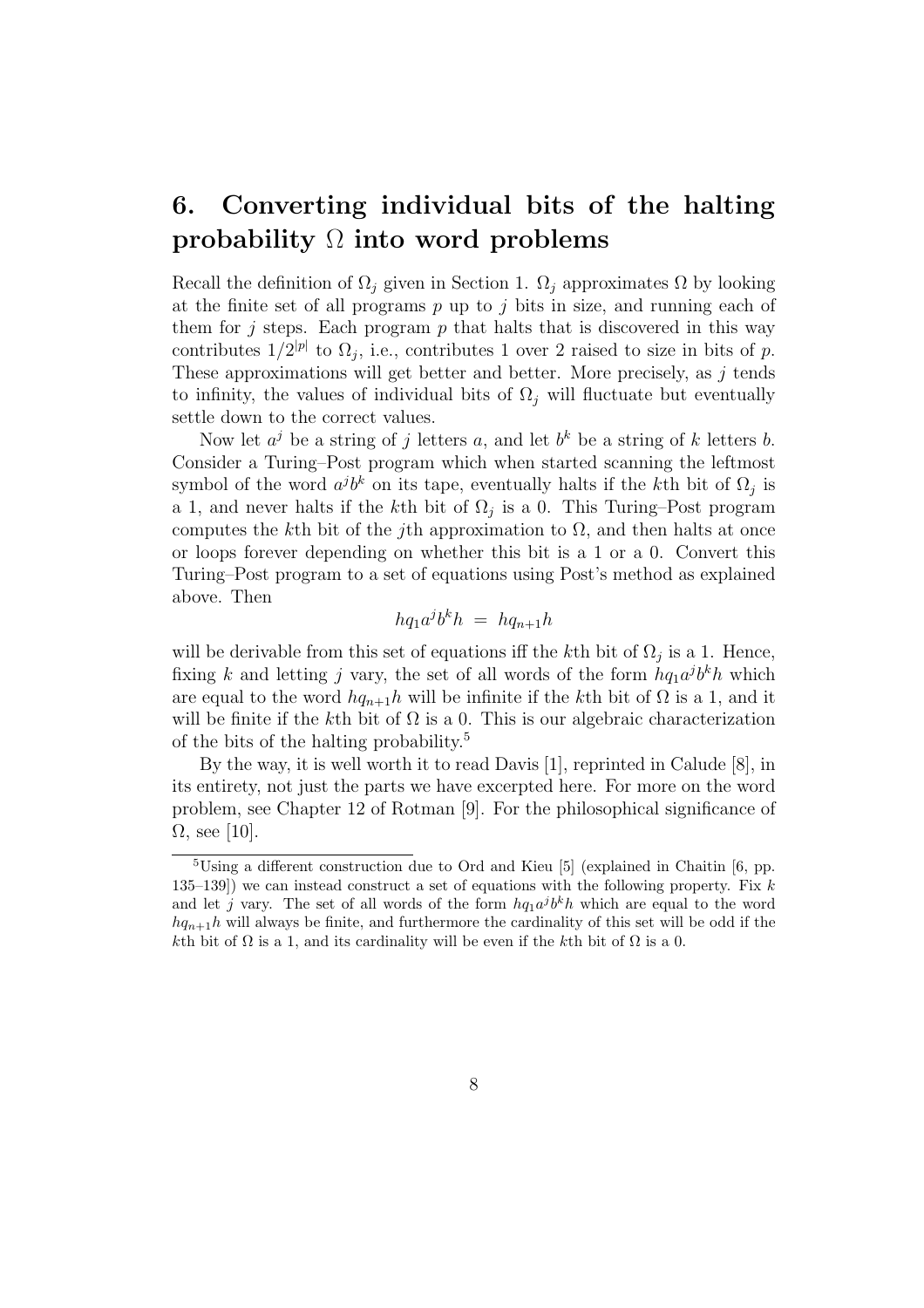# 6. Converting individual bits of the halting probability  $\Omega$  into word problems

Recall the definition of  $\Omega_i$  given in Section 1.  $\Omega_i$  approximates  $\Omega$  by looking at the finite set of all programs  $p$  up to  $j$  bits in size, and running each of them for j steps. Each program  $p$  that halts that is discovered in this way contributes  $1/2^{|p|}$  to  $\Omega_j$ , i.e., contributes 1 over 2 raised to size in bits of p. These approximations will get better and better. More precisely, as  $j$  tends to infinity, the values of individual bits of  $\Omega_j$  will fluctuate but eventually settle down to the correct values.

Now let  $a^j$  be a string of j letters a, and let  $b^k$  be a string of k letters b. Consider a Turing–Post program which when started scanning the leftmost symbol of the word  $a^j b^k$  on its tape, eventually halts if the k<sup>th</sup> bit of  $\Omega_j$  is a 1, and never halts if the k<sup>th</sup> bit of  $\Omega_j$  is a 0. This Turing–Post program computes the k<sup>th</sup> bit of the *j*th approximation to  $\Omega$ , and then halts at once or loops forever depending on whether this bit is a 1 or a 0. Convert this Turing–Post program to a set of equations using Post's method as explained above. Then

$$
hq_1a^jb^kh = hq_{n+1}h
$$

will be derivable from this set of equations iff the kth bit of  $\Omega_j$  is a 1. Hence, fixing k and letting j vary, the set of all words of the form  $hq_1a^jb^kh$  which are equal to the word  $hq_{n+1}h$  will be infinite if the kth bit of  $\Omega$  is a 1, and it will be finite if the kth bit of  $\Omega$  is a 0. This is our algebraic characterization of the bits of the halting probability.<sup>5</sup>

By the way, it is well worth it to read Davis [1], reprinted in Calude [8], in its entirety, not just the parts we have excerpted here. For more on the word problem, see Chapter 12 of Rotman [9]. For the philosophical significance of  $\Omega$ , see [10].

<sup>5</sup>Using a different construction due to Ord and Kieu [5] (explained in Chaitin [6, pp. 135–139) we can instead construct a set of equations with the following property. Fix  $k$ and let j vary. The set of all words of the form  $hq_1a^jb^kh$  which are equal to the word  $hq_{n+1}$ h will always be finite, and furthermore the cardinality of this set will be odd if the kth bit of  $\Omega$  is a 1, and its cardinality will be even if the kth bit of  $\Omega$  is a 0.